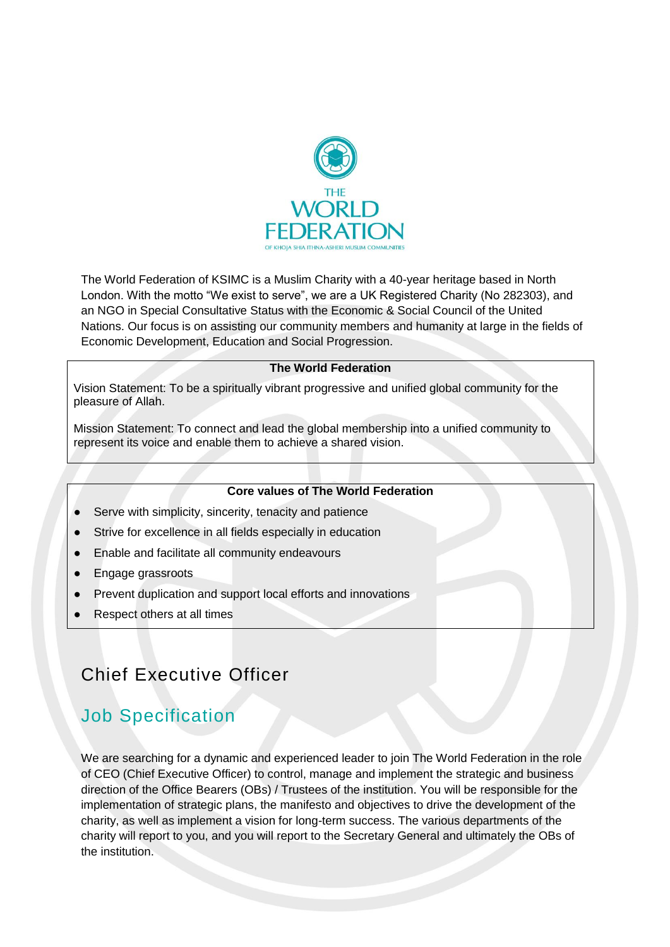

The World Federation of KSIMC is a Muslim Charity with a 40-year heritage based in North London. With the motto "We exist to serve", we are a UK Registered Charity (No 282303), and an NGO in Special Consultative Status with the Economic & Social Council of the United Nations. Our focus is on assisting our community members and humanity at large in the fields of Economic Development, Education and Social Progression.

#### **The World Federation**

Vision Statement: To be a spiritually vibrant progressive and unified global community for the pleasure of Allah.

Mission Statement: To connect and lead the global membership into a unified community to represent its voice and enable them to achieve a shared vision.

#### **Core values of The World Federation**

- Serve with simplicity, sincerity, tenacity and patience
- Strive for excellence in all fields especially in education
- Enable and facilitate all community endeavours
- **Engage grassroots**
- Prevent duplication and support local efforts and innovations
- Respect others at all times

# Chief Executive Officer

### Job Specification

We are searching for a dynamic and experienced leader to join The World Federation in the role of CEO (Chief Executive Officer) to control, manage and implement the strategic and business direction of the Office Bearers (OBs) / Trustees of the institution. You will be responsible for the implementation of strategic plans, the manifesto and objectives to drive the development of the charity, as well as implement a vision for long-term success. The various departments of the charity will report to you, and you will report to the Secretary General and ultimately the OBs of the institution.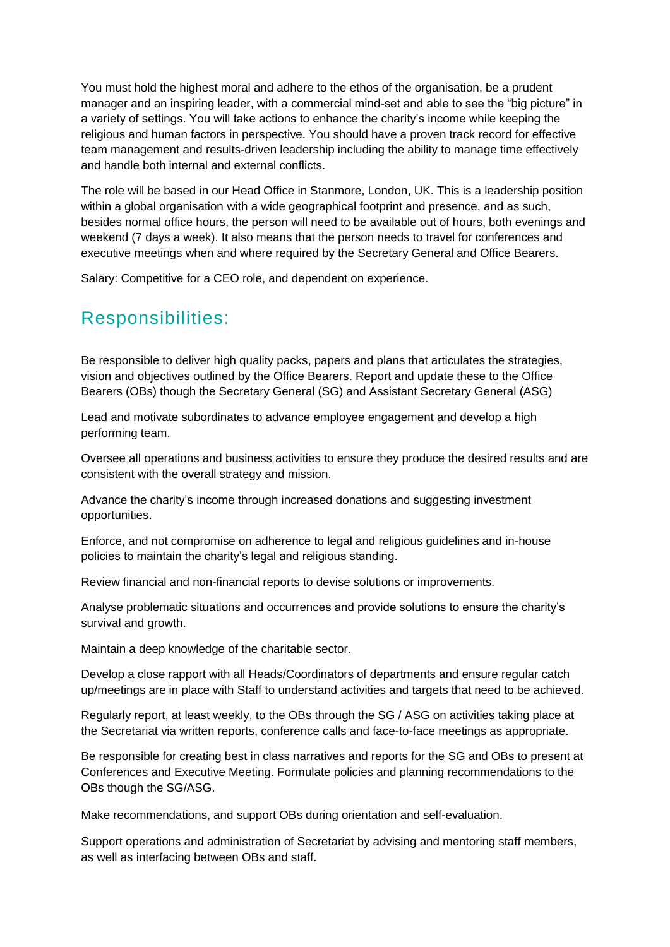You must hold the highest moral and adhere to the ethos of the organisation, be a prudent manager and an inspiring leader, with a commercial mind-set and able to see the "big picture" in a variety of settings. You will take actions to enhance the charity's income while keeping the religious and human factors in perspective. You should have a proven track record for effective team management and results-driven leadership including the ability to manage time effectively and handle both internal and external conflicts.

The role will be based in our Head Office in Stanmore, London, UK. This is a leadership position within a global organisation with a wide geographical footprint and presence, and as such, besides normal office hours, the person will need to be available out of hours, both evenings and weekend (7 days a week). It also means that the person needs to travel for conferences and executive meetings when and where required by the Secretary General and Office Bearers.

Salary: Competitive for a CEO role, and dependent on experience.

# Responsibilities:

Be responsible to deliver high quality packs, papers and plans that articulates the strategies, vision and objectives outlined by the Office Bearers. Report and update these to the Office Bearers (OBs) though the Secretary General (SG) and Assistant Secretary General (ASG)

Lead and motivate subordinates to advance employee engagement and develop a high performing team.

Oversee all operations and business activities to ensure they produce the desired results and are consistent with the overall strategy and mission.

Advance the charity's income through increased donations and suggesting investment opportunities.

Enforce, and not compromise on adherence to legal and religious guidelines and in-house policies to maintain the charity's legal and religious standing.

Review financial and non-financial reports to devise solutions or improvements.

Analyse problematic situations and occurrences and provide solutions to ensure the charity's survival and growth.

Maintain a deep knowledge of the charitable sector.

Develop a close rapport with all Heads/Coordinators of departments and ensure regular catch up/meetings are in place with Staff to understand activities and targets that need to be achieved.

Regularly report, at least weekly, to the OBs through the SG / ASG on activities taking place at the Secretariat via written reports, conference calls and face-to-face meetings as appropriate.

Be responsible for creating best in class narratives and reports for the SG and OBs to present at Conferences and Executive Meeting. Formulate policies and planning recommendations to the OBs though the SG/ASG.

Make recommendations, and support OBs during orientation and self-evaluation.

Support operations and administration of Secretariat by advising and mentoring staff members, as well as interfacing between OBs and staff.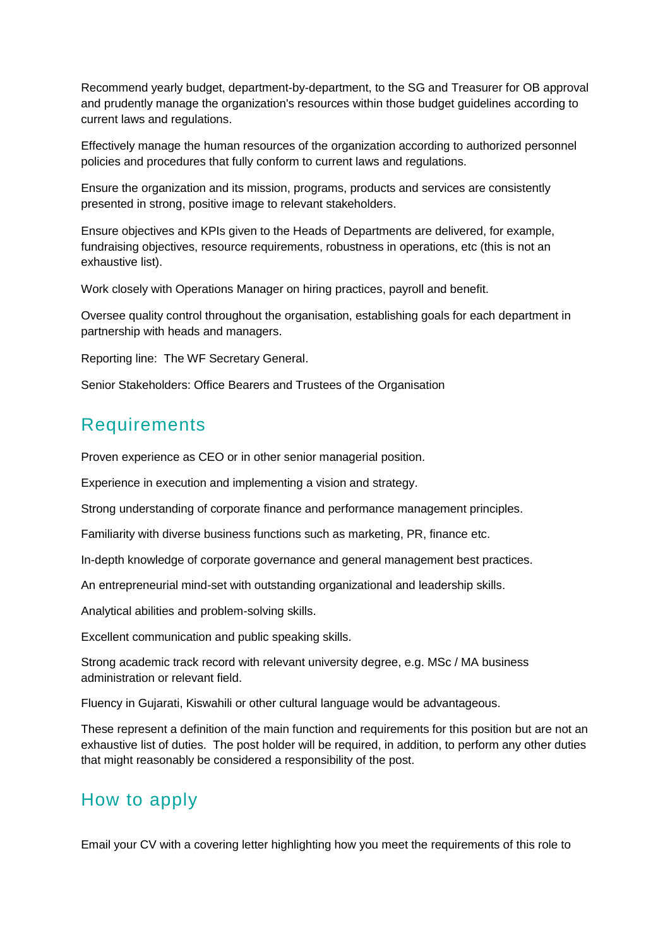Recommend yearly budget, department-by-department, to the SG and Treasurer for OB approval and prudently manage the organization's resources within those budget guidelines according to current laws and regulations.

Effectively manage the human resources of the organization according to authorized personnel policies and procedures that fully conform to current laws and regulations.

Ensure the organization and its mission, programs, products and services are consistently presented in strong, positive image to relevant stakeholders.

Ensure objectives and KPIs given to the Heads of Departments are delivered, for example, fundraising objectives, resource requirements, robustness in operations, etc (this is not an exhaustive list).

Work closely with Operations Manager on hiring practices, payroll and benefit.

Oversee quality control throughout the organisation, establishing goals for each department in partnership with heads and managers.

Reporting line: The WF Secretary General.

Senior Stakeholders: Office Bearers and Trustees of the Organisation

# **Requirements**

Proven experience as CEO or in other senior managerial position.

Experience in execution and implementing a vision and strategy.

Strong understanding of corporate finance and performance management principles.

Familiarity with diverse business functions such as marketing, PR, finance etc.

In-depth knowledge of corporate governance and general management best practices.

An entrepreneurial mind-set with outstanding organizational and leadership skills.

Analytical abilities and problem-solving skills.

Excellent communication and public speaking skills.

Strong academic track record with relevant university degree, e.g. MSc / MA business administration or relevant field.

Fluency in Gujarati, Kiswahili or other cultural language would be advantageous.

These represent a definition of the main function and requirements for this position but are not an exhaustive list of duties. The post holder will be required, in addition, to perform any other duties that might reasonably be considered a responsibility of the post.

### How to apply

Email your CV with a covering letter highlighting how you meet the requirements of this role to